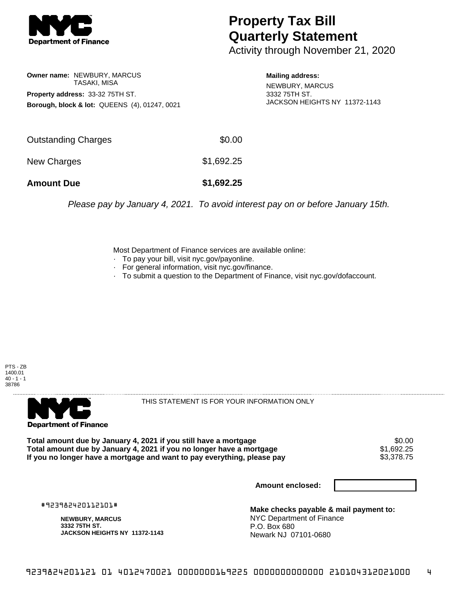

## **Property Tax Bill Quarterly Statement**

Activity through November 21, 2020

**Owner name:** NEWBURY, MARCUS TASAKI, MISA **Property address:** 33-32 75TH ST. **Borough, block & lot:** QUEENS (4), 01247, 0021 **Mailing address:**

NEWBURY, MARCUS 3332 75TH ST. JACKSON HEIGHTS NY 11372-1143

| <b>Amount Due</b>   | \$1,692.25 |
|---------------------|------------|
| New Charges         | \$1,692.25 |
| Outstanding Charges | \$0.00     |

Please pay by January 4, 2021. To avoid interest pay on or before January 15th.

Most Department of Finance services are available online:

- · To pay your bill, visit nyc.gov/payonline.
- For general information, visit nyc.gov/finance.
- · To submit a question to the Department of Finance, visit nyc.gov/dofaccount.





THIS STATEMENT IS FOR YOUR INFORMATION ONLY

Total amount due by January 4, 2021 if you still have a mortgage \$0.00<br>Total amount due by January 4, 2021 if you no longer have a mortgage \$1.692.25 **Total amount due by January 4, 2021 if you no longer have a mortgage**  $$1,692.25$ **<br>If you no longer have a mortgage and want to pay everything, please pay**  $$3,378.75$ If you no longer have a mortgage and want to pay everything, please pay

**Amount enclosed:**

#923982420112101#

**NEWBURY, MARCUS 3332 75TH ST. JACKSON HEIGHTS NY 11372-1143**

**Make checks payable & mail payment to:** NYC Department of Finance P.O. Box 680 Newark NJ 07101-0680